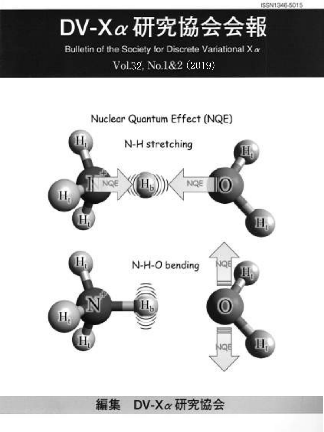# DV-X $\alpha$  研究協会会報

Bulletin of the Society for Discrete Variational X a

### Vol.32, No.1&2 (2019)



DV-Xa研究協会 編集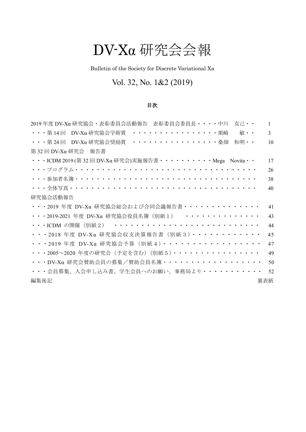## DV-Xα 研究会会報

Bulletin of the Society for Discrete Variational  $\mathbf{X}\alpha$ 

### Vol. 32, No. 1&2 (2019)

#### 目次

| 2019 年度 DV-Xα 研究協会・表彰委員会活動報告 表彰委員会委員長・・・・中川 克己・・                    | $\mathbf{1}$   |
|---------------------------------------------------------------------|----------------|
| ・・・第 14 回 DV-Xα 研究協会学術賞 ・・・・・・・・・・・・・・・・栗崎<br>敏··                   | $\overline{3}$ |
| $\cdots$ 第24回 DV-Xa研究協会奨励賞 $\cdots$ 桑畑 和明                           | 10             |
| 第 32 回 DV-Xα 研究会 報告書                                                |                |
| ・・・ICDM 2019 (第 32 回 DV-Xα 研究会)実施報告書・・・・・・・・・ Mega Novita・・         | 17             |
|                                                                     | 26             |
| <u>・・・参加者名簿・・・・・・・・・・・・・・・・・・・・・・・・・・・・・・・・・・・</u>                  | 38             |
|                                                                     | 40             |
| 研究協会活動報告                                                            |                |
| ・・・2019 年度 DV-Xα 研究協会総会および合同会議報告書・・・・・・・・・・・・・・                     | 41             |
| ···2019-2021 年度 DV-Xα 研究協会役員名簿 (別紙1) ···············                | 43             |
| ・・・ICDM の開催(別紙2) ・・・・・・・・・・・・・・・・・・・・・・・・・・・                        | 44             |
| $\cdots$ 2018 年度 DV-Xα 研究協会収支決算報告書 (別紙3) $\cdots$ · · · · · · · · · | 45             |
| ・・・2019 年度 DV-Xα 研究協会予算 (別紙4) · · · · · · · · · · · · · · · · ·     | 47             |
| ・・・2005~2020 年度の研究会 (予定を含む) (別紙5)・・・・・・・・・・・・・・・                    | 49             |
| ・・・DV-Xα研究会賛助会員の募集/賛助会員名簿・・・・・・・・・・・・・・・・・・                         | 50             |
| ・・・会員募集、入会申し込み書、学生会員へのお願い、事務局より・・・・・・・・・・・                          | 52             |
| 裏表紙<br>編集後記                                                         |                |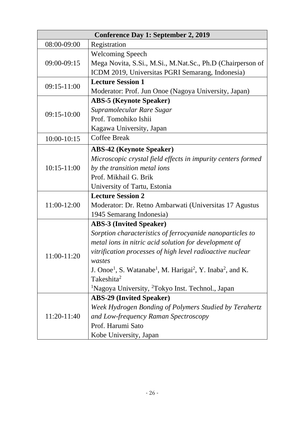| <b>Conference Day 1: September 2, 2019</b> |                                                                                                            |
|--------------------------------------------|------------------------------------------------------------------------------------------------------------|
| 08:00-09:00                                | Registration                                                                                               |
| 09:00-09:15                                | <b>Welcoming Speech</b>                                                                                    |
|                                            | Mega Novita, S.Si., M.Si., M.Nat.Sc., Ph.D (Chairperson of                                                 |
|                                            | ICDM 2019, Universitas PGRI Semarang, Indonesia)                                                           |
| 09:15-11:00                                | <b>Lecture Session 1</b>                                                                                   |
|                                            | Moderator: Prof. Jun Onoe (Nagoya University, Japan)                                                       |
|                                            | <b>ABS-5 (Keynote Speaker)</b>                                                                             |
| 09:15-10:00                                | Supramolecular Rare Sugar                                                                                  |
|                                            | Prof. Tomohiko Ishii                                                                                       |
|                                            | Kagawa University, Japan                                                                                   |
| 10:00-10:15                                | <b>Coffee Break</b>                                                                                        |
|                                            | <b>ABS-42 (Keynote Speaker)</b>                                                                            |
|                                            | Microscopic crystal field effects in impurity centers formed                                               |
| $10:15 - 11:00$                            | by the transition metal ions                                                                               |
|                                            | Prof. Mikhail G. Brik                                                                                      |
|                                            | University of Tartu, Estonia                                                                               |
|                                            | <b>Lecture Session 2</b>                                                                                   |
| 11:00-12:00                                | Moderator: Dr. Retno Ambarwati (Universitas 17 Agustus                                                     |
|                                            | 1945 Semarang Indonesia)                                                                                   |
|                                            | <b>ABS-3 (Invited Speaker)</b>                                                                             |
|                                            | Sorption characteristics of ferrocyanide nanoparticles to                                                  |
|                                            | metal ions in nitric acid solution for development of                                                      |
| 11:00-11:20                                | vitrification processes of high level radioactive nuclear                                                  |
|                                            | wastes                                                                                                     |
|                                            | J. Onoe <sup>1</sup> , S. Watanabe <sup>1</sup> , M. Harigai <sup>2</sup> , Y. Inaba <sup>2</sup> , and K. |
|                                            | Takeshita <sup>2</sup>                                                                                     |
|                                            | <sup>1</sup> Nagoya University, <sup>2</sup> Tokyo Inst. Technol., Japan                                   |
|                                            | <b>ABS-29 (Invited Speaker)</b>                                                                            |
|                                            | Week Hydrogen Bonding of Polymers Studied by Terahertz                                                     |
| 11:20-11:40                                | and Low-frequency Raman Spectroscopy                                                                       |
|                                            | Prof. Harumi Sato                                                                                          |
|                                            | Kobe University, Japan                                                                                     |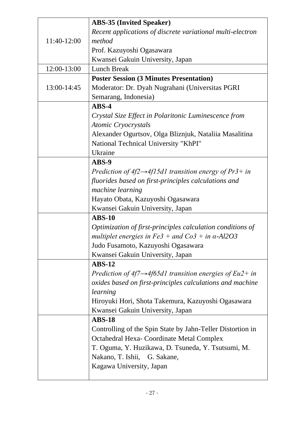|             | <b>ABS-35 (Invited Speaker)</b>                                       |
|-------------|-----------------------------------------------------------------------|
|             | Recent applications of discrete variational multi-electron            |
| 11:40-12:00 | method                                                                |
|             | Prof. Kazuyoshi Ogasawara                                             |
|             | Kwansei Gakuin University, Japan                                      |
| 12:00-13:00 | <b>Lunch Break</b>                                                    |
|             | <b>Poster Session (3 Minutes Presentation)</b>                        |
| 13:00-14:45 | Moderator: Dr. Dyah Nugrahani (Universitas PGRI                       |
|             | Semarang, Indonesia)                                                  |
|             | $ABS-4$                                                               |
|             | Crystal Size Effect in Polaritonic Luminescence from                  |
|             | <b>Atomic Cryocrystals</b>                                            |
|             | Alexander Ogurtsov, Olga Bliznjuk, Nataliia Masalitina                |
|             | National Technical University "KhPI"                                  |
|             | Ukraine                                                               |
|             | ABS-9                                                                 |
|             | Prediction of $4f2 \rightarrow 4f15d1$ transition energy of Pr3+ in   |
|             | fluorides based on first-principles calculations and                  |
|             | machine learning                                                      |
|             | Hayato Obata, Kazuyoshi Ogasawara                                     |
|             | Kwansei Gakuin University, Japan                                      |
|             | <b>ABS-10</b>                                                         |
|             | Optimization of first-principles calculation conditions of            |
|             | multiplet energies in $Fe3 +$ and $Co3 +$ in $\alpha$ -Al2O3          |
|             | Judo Fusamoto, Kazuyoshi Ogasawara                                    |
|             | Kwansei Gakuin University, Japan                                      |
|             | $ABS-12$                                                              |
|             | Prediction of $4f7 \rightarrow 4f65d1$ transition energies of Eu2+ in |
|             | oxides based on first-principles calculations and machine             |
|             | learning                                                              |
|             | Hiroyuki Hori, Shota Takemura, Kazuyoshi Ogasawara                    |
|             | Kwansei Gakuin University, Japan                                      |
|             | <b>ABS-18</b>                                                         |
|             | Controlling of the Spin State by Jahn-Teller Distortion in            |
|             | Octahedral Hexa- Coordinate Metal Complex                             |
|             | T. Oguma, Y. Huzikawa, D. Tsuneda, Y. Tsutsumi, M.                    |
|             | Nakano, T. Ishii,<br>G. Sakane,                                       |
|             | Kagawa University, Japan                                              |
|             |                                                                       |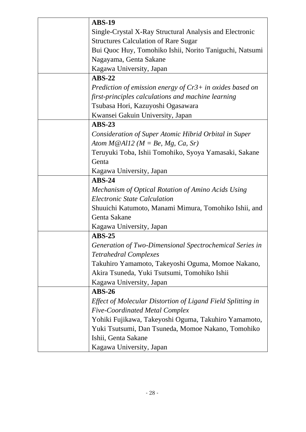| <b>ABS-19</b>                                               |
|-------------------------------------------------------------|
| Single-Crystal X-Ray Structural Analysis and Electronic     |
| <b>Structures Calculation of Rare Sugar</b>                 |
| Bui Quoc Huy, Tomohiko Ishii, Norito Taniguchi, Natsumi     |
| Nagayama, Genta Sakane                                      |
| Kagawa University, Japan                                    |
| $ABS-22$                                                    |
| Prediction of emission energy of $Cr3+$ in oxides based on  |
| first-principles calculations and machine learning          |
| Tsubasa Hori, Kazuyoshi Ogasawara                           |
| Kwansei Gakuin University, Japan                            |
| $ABS-23$                                                    |
| Consideration of Super Atomic Hibrid Orbital in Super       |
| Atom $M@All2$ ( $M = Be$ , Mg, Ca, Sr)                      |
| Teruyuki Toba, Ishii Tomohiko, Syoya Yamasaki, Sakane       |
| Genta                                                       |
| Kagawa University, Japan                                    |
| $ABS-24$                                                    |
| Mechanism of Optical Rotation of Amino Acids Using          |
| <b>Electronic State Calculation</b>                         |
| Shuuichi Katumoto, Manami Mimura, Tomohiko Ishii, and       |
| Genta Sakane                                                |
| Kagawa University, Japan                                    |
| $ABS-25$                                                    |
| Generation of Two-Dimensional Spectrochemical Series in     |
| <b>Tetrahedral Complexes</b>                                |
| Takuhiro Yamamoto, Takeyoshi Oguma, Momoe Nakano,           |
| Akira Tsuneda, Yuki Tsutsumi, Tomohiko Ishii                |
| Kagawa University, Japan                                    |
| $ABS-26$                                                    |
| Effect of Molecular Distortion of Ligand Field Splitting in |
| <b>Five-Coordinated Metal Complex</b>                       |
| Yohiki Fujikawa, Takeyoshi Oguma, Takuhiro Yamamoto,        |
| Yuki Tsutsumi, Dan Tsuneda, Momoe Nakano, Tomohiko          |
| Ishii, Genta Sakane                                         |
|                                                             |
| Kagawa University, Japan                                    |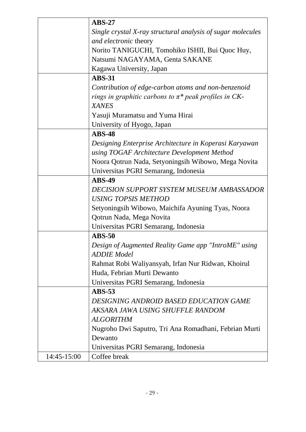|             | $ABS-27$                                                    |
|-------------|-------------------------------------------------------------|
|             | Single crystal X-ray structural analysis of sugar molecules |
|             | and electronic theory                                       |
|             | Norito TANIGUCHI, Tomohiko ISHII, Bui Quoc Huy,             |
|             | Natsumi NAGAYAMA, Genta SAKANE                              |
|             | Kagawa University, Japan                                    |
|             | <b>ABS-31</b>                                               |
|             | Contribution of edge-carbon atoms and non-benzenoid         |
|             | rings in graphitic carbons to $\pi^*$ peak profiles in CK-  |
|             | <b>XANES</b>                                                |
|             | Yasuji Muramatsu and Yuma Hirai                             |
|             | University of Hyogo, Japan                                  |
|             | <b>ABS-48</b>                                               |
|             | Designing Enterprise Architecture in Koperasi Karyawan      |
|             | using TOGAF Architecture Development Method                 |
|             | Noora Qotrun Nada, Setyoningsih Wibowo, Mega Novita         |
|             | Universitas PGRI Semarang, Indonesia                        |
|             | <b>ABS-49</b>                                               |
|             | DECISION SUPPORT SYSTEM MUSEUM AMBASSADOR                   |
|             | <b>USING TOPSIS METHOD</b>                                  |
|             | Setyoningsih Wibowo, Maichifa Ayuning Tyas, Noora           |
|             | Qotrun Nada, Mega Novita                                    |
|             | Universitas PGRI Semarang, Indonesia                        |
|             | <b>ABS-50</b>                                               |
|             | Design of Augmented Reality Game app "IntroME" using        |
|             | <b>ADDIE</b> Model                                          |
|             | Rahmat Robi Waliyansyah, Irfan Nur Ridwan, Khoirul          |
|             | Huda, Febrian Murti Dewanto                                 |
|             | Universitas PGRI Semarang, Indonesia                        |
|             | $ABS-53$                                                    |
|             | DESIGNING ANDROID BASED EDUCATION GAME                      |
|             | AKSARA JAWA USING SHUFFLE RANDOM                            |
|             | <b>ALGORITHM</b>                                            |
|             | Nugroho Dwi Saputro, Tri Ana Romadhani, Febrian Murti       |
|             | Dewanto                                                     |
|             | Universitas PGRI Semarang, Indonesia                        |
| 14:45-15:00 | Coffee break                                                |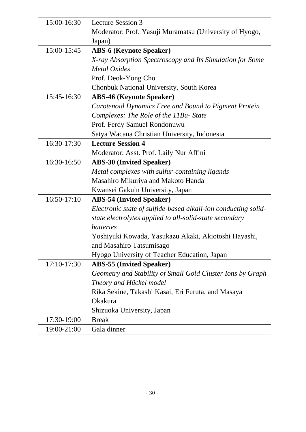| 15:00-16:30 | <b>Lecture Session 3</b>                                       |
|-------------|----------------------------------------------------------------|
|             | Moderator: Prof. Yasuji Muramatsu (University of Hyogo,        |
|             | Japan)                                                         |
| 15:00-15:45 | <b>ABS-6 (Keynote Speaker)</b>                                 |
|             | X-ray Absorption Spectroscopy and Its Simulation for Some      |
|             | <b>Metal Oxides</b>                                            |
|             | Prof. Deok-Yong Cho                                            |
|             | Chonbuk National University, South Korea                       |
| 15:45-16:30 | <b>ABS-46 (Keynote Speaker)</b>                                |
|             | Carotenoid Dynamics Free and Bound to Pigment Protein          |
|             | Complexes: The Role of the 11Bu- State                         |
|             | Prof. Ferdy Samuel Rondonuwu                                   |
|             | Satya Wacana Christian University, Indonesia                   |
| 16:30-17:30 | <b>Lecture Session 4</b>                                       |
|             | Moderator: Asst. Prof. Laily Nur Affini                        |
| 16:30-16:50 | <b>ABS-30 (Invited Speaker)</b>                                |
|             | Metal complexes with sulfur-containing ligands                 |
|             | Masahiro Mikuriya and Makoto Handa                             |
|             | Kwansei Gakuin University, Japan                               |
| 16:50-17:10 | <b>ABS-54 (Invited Speaker)</b>                                |
|             | Electronic state of sulfide-based alkali-ion conducting solid- |
|             | state electrolytes applied to all-solid-state secondary        |
|             | <i>batteries</i>                                               |
|             | Yoshiyuki Kowada, Yasukazu Akaki, Akiotoshi Hayashi,           |
|             | and Masahiro Tatsumisago                                       |
|             | Hyogo University of Teacher Education, Japan                   |
| 17:10-17:30 | <b>ABS-55 (Invited Speaker)</b>                                |
|             | Geometry and Stability of Small Gold Cluster Ions by Graph     |
|             | Theory and Hückel model                                        |
|             | Rika Sekine, Takashi Kasai, Eri Furuta, and Masaya             |
|             | Okakura                                                        |
|             | Shizuoka University, Japan                                     |
| 17:30-19:00 | <b>Break</b>                                                   |
| 19:00-21:00 | Gala dinner                                                    |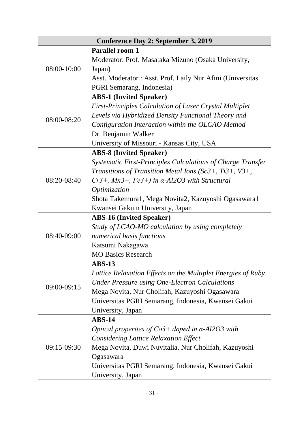| <b>Conference Day 2: September 3, 2019</b> |                                                                |
|--------------------------------------------|----------------------------------------------------------------|
|                                            | <b>Parallel room 1</b>                                         |
| 08:00-10:00                                | Moderator: Prof. Masataka Mizuno (Osaka University,            |
|                                            | Japan)                                                         |
|                                            | Asst. Moderator: Asst. Prof. Laily Nur Afini (Universitas      |
|                                            | PGRI Semarang, Indonesia)                                      |
|                                            | <b>ABS-1 (Invited Speaker)</b>                                 |
|                                            | <b>First-Principles Calculation of Laser Crystal Multiplet</b> |
| 08:00-08:20                                | Levels via Hybridized Density Functional Theory and            |
|                                            | Configuration Interaction within the OLCAO Method              |
|                                            | Dr. Benjamin Walker                                            |
|                                            | University of Missouri - Kansas City, USA                      |
|                                            | <b>ABS-8 (Invited Speaker)</b>                                 |
|                                            | Systematic First-Principles Calculations of Charge Transfer    |
|                                            | Transitions of Transition Metal Ions (Sc3+, Ti3+, V3+,         |
| 08:20-08:40                                | $Cr3+$ , Mn3+, Fe3+) in $\alpha$ -Al2O3 with Structural        |
|                                            | Optimization                                                   |
|                                            | Shota Takemura1, Mega Novita2, Kazuyoshi Ogasawara1            |
|                                            | Kwansei Gakuin University, Japan                               |
|                                            | <b>ABS-16 (Invited Speaker)</b>                                |
|                                            | Study of LCAO-MO calculation by using completely               |
| 08:40-09:00                                | numerical basis functions                                      |
|                                            | Katsumi Nakagawa                                               |
|                                            | <b>MO Basics Research</b>                                      |
|                                            | <b>ABS-13</b>                                                  |
|                                            | Lattice Relaxation Effects on the Multiplet Energies of Ruby   |
| 09:00-09:15                                | <b>Under Pressure using One-Electron Calculations</b>          |
|                                            | Mega Novita, Nur Cholifah, Kazuyoshi Ogasawara                 |
|                                            | Universitas PGRI Semarang, Indonesia, Kwansei Gakui            |
|                                            | University, Japan                                              |
|                                            | $ABS-14$                                                       |
|                                            | Optical properties of $Co3+$ doped in $\alpha$ -Al2O3 with     |
|                                            | <b>Considering Lattice Relaxation Effect</b>                   |
| 09:15-09:30                                | Mega Novita, Duwi Nuvitalia, Nur Cholifah, Kazuyoshi           |
|                                            | Ogasawara                                                      |
|                                            | Universitas PGRI Semarang, Indonesia, Kwansei Gakui            |
|                                            | University, Japan                                              |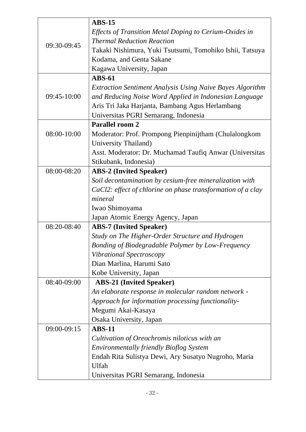|             | $ABS-15$                                                         |
|-------------|------------------------------------------------------------------|
|             | Effects of Transition Metal Doping to Cerium-Oxides in           |
|             | <b>Thermal Reduction Reaction</b>                                |
| 09:30-09:45 | Takaki Nishimura, Yuki Tsutsumi, Tomohiko Ishii, Tatsuya         |
|             | Kodama, and Genta Sakane                                         |
|             | Kagawa University, Japan                                         |
|             | <b>ABS-61</b>                                                    |
|             | <b>Extraction Sentiment Analysis Using Naive Bayes Algorithm</b> |
| 09:45-10:00 | and Reducing Noise Word Applied in Indonesian Language           |
|             | Aris Tri Jaka Harjanta, Bambang Agus Herlambang                  |
|             | Universitas PGRI Semarang, Indonesia                             |
|             | Parallel room 2                                                  |
| 08:00-10:00 | Moderator: Prof. Prompong Pienpinijtham (Chulalongkom            |
|             | University Thailand)                                             |
|             | Asst. Moderator: Dr. Muchamad Taufiq Anwar (Universitas          |
|             | Stikubank, Indonesia)                                            |
| 08:00-08:20 | <b>ABS-2 (Invited Speaker)</b>                                   |
|             | Soil decontamination by cesium-free mineralization with          |
|             | CaCl2: effect of chlorine on phase transformation of a clay      |
|             | mineral                                                          |
|             | Iwao Shimoyama                                                   |
|             | Japan Atomic Energy Agency, Japan                                |
| 08:20-08:40 | <b>ABS-7 (Invited Speaker)</b>                                   |
|             | Study on The Higher-Order Structure and Hydrogen                 |
|             | Bonding of Biodegradable Polymer by Low-Frequency                |
|             | Vibrational Spectroscopy                                         |
|             | Dian Marlina, Harumi Sato                                        |
|             | Kobe University, Japan                                           |
| 08:40-09:00 | <b>ABS-21 (Invited Speaker)</b>                                  |
|             | An elaborate response in molecular random network -              |
|             | Approach for information processing functionality-               |
|             | Megumi Akai-Kasaya                                               |
|             | Osaka University, Japan                                          |
| 09:00-09:15 | <b>ABS-11</b>                                                    |
|             | Cultivation of Oreochromis niloticus with an                     |
|             | <b>Environmentally friendly Bioflog System</b>                   |
|             | Endah Rita Sulistya Dewi, Ary Susatyo Nugroho, Maria             |
|             | Ulfah                                                            |
|             | Universitas PGRI Semarang, Indonesia                             |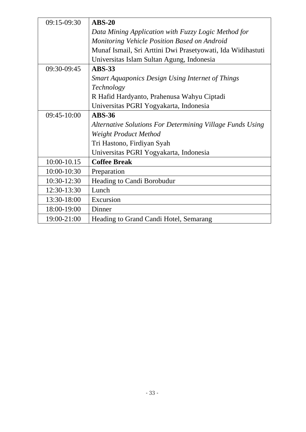| $09:15-09:30$ | $ABS-20$                                                    |
|---------------|-------------------------------------------------------------|
|               | Data Mining Application with Fuzzy Logic Method for         |
|               | Monitoring Vehicle Position Based on Android                |
|               | Munaf Ismail, Sri Arttini Dwi Prasetyowati, Ida Widihastuti |
|               | Universitas Islam Sultan Agung, Indonesia                   |
| 09:30-09:45   | <b>ABS-33</b>                                               |
|               | <b>Smart Aquaponics Design Using Internet of Things</b>     |
|               | Technology                                                  |
|               | R Hafid Hardyanto, Prahenusa Wahyu Ciptadi                  |
|               | Universitas PGRI Yogyakarta, Indonesia                      |
| $09:45-10:00$ | <b>ABS-36</b>                                               |
|               | Alternative Solutions For Determining Village Funds Using   |
|               | Weight Product Method                                       |
|               | Tri Hastono, Firdiyan Syah                                  |
|               | Universitas PGRI Yogyakarta, Indonesia                      |
| 10:00-10.15   | <b>Coffee Break</b>                                         |
| 10:00-10:30   | Preparation                                                 |
| 10:30-12:30   | Heading to Candi Borobudur                                  |
| 12:30-13:30   | Lunch                                                       |
| 13:30-18:00   | Excursion                                                   |
| 18:00-19:00   | Dinner                                                      |
| 19:00-21:00   | Heading to Grand Candi Hotel, Semarang                      |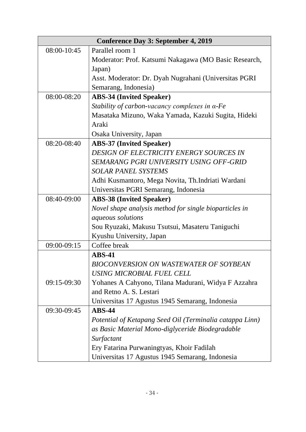|             | <b>Conference Day 3: September 4, 2019</b>               |
|-------------|----------------------------------------------------------|
| 08:00-10:45 | Parallel room 1                                          |
|             | Moderator: Prof. Katsumi Nakagawa (MO Basic Research,    |
|             | Japan)                                                   |
|             | Asst. Moderator: Dr. Dyah Nugrahani (Universitas PGRI    |
|             | Semarang, Indonesia)                                     |
| 08:00-08:20 | <b>ABS-34 (Invited Speaker)</b>                          |
|             | Stability of carbon-vacancy complexes in $\alpha$ -Fe    |
|             | Masataka Mizuno, Waka Yamada, Kazuki Sugita, Hideki      |
|             | Araki                                                    |
|             | Osaka University, Japan                                  |
| 08:20-08:40 | <b>ABS-37 (Invited Speaker)</b>                          |
|             | DESIGN OF ELECTRICITY ENERGY SOURCES IN                  |
|             | SEMARANG PGRI UNIVERSITY USING OFF-GRID                  |
|             | <b>SOLAR PANEL SYSTEMS</b>                               |
|             | Adhi Kusmantoro, Mega Novita, Th.Indriati Wardani        |
|             | Universitas PGRI Semarang, Indonesia                     |
| 08:40-09:00 | <b>ABS-38 (Invited Speaker)</b>                          |
|             | Novel shape analysis method for single bioparticles in   |
|             | <i>aqueous solutions</i>                                 |
|             | Sou Ryuzaki, Makusu Tsutsui, Masateru Taniguchi          |
|             | Kyushu University, Japan                                 |
| 09:00-09:15 | Coffee break                                             |
|             | $ABS-41$                                                 |
|             | BIOCONVERSION ON WASTEWATER OF SOYBEAN                   |
|             | USING MICROBIAL FUEL CELL                                |
| 09:15-09:30 | Yohanes A Cahyono, Tilana Madurani, Widya F Azzahra      |
|             | and Retno A. S. Lestari                                  |
|             | Universitas 17 Agustus 1945 Semarang, Indonesia          |
| 09:30-09:45 | $ABS-44$                                                 |
|             | Potential of Ketapang Seed Oil (Terminalia catappa Linn) |
|             | as Basic Material Mono-diglyceride Biodegradable         |
|             | Surfactant                                               |
|             | Ery Fatarina Purwaningtyas, Khoir Fadilah                |
|             | Universitas 17 Agustus 1945 Semarang, Indonesia          |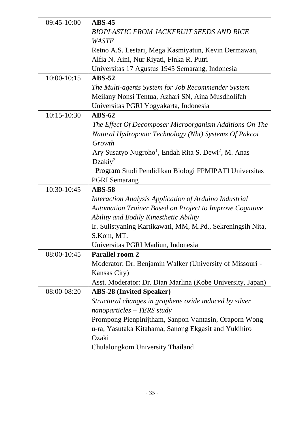| 09:45-10:00     | $ABS-45$                                                                     |
|-----------------|------------------------------------------------------------------------------|
|                 | <b>BIOPLASTIC FROM JACKFRUIT SEEDS AND RICE</b>                              |
|                 | <b>WASTE</b>                                                                 |
|                 | Retno A.S. Lestari, Mega Kasmiyatun, Kevin Dermawan,                         |
|                 | Alfia N. Aini, Nur Riyati, Finka R. Putri                                    |
|                 | Universitas 17 Agustus 1945 Semarang, Indonesia                              |
| 10:00-10:15     | $ABS-52$                                                                     |
|                 | The Multi-agents System for Job Recommender System                           |
|                 | Meilany Nonsi Tentua, Azhari SN, Aina Musdholifah                            |
|                 | Universitas PGRI Yogyakarta, Indonesia                                       |
| $10:15 - 10:30$ | $ABS-62$                                                                     |
|                 | The Effect Of Decomposer Microorganism Additions On The                      |
|                 | Natural Hydroponic Technology (Nht) Systems Of Pakcoi                        |
|                 | Growth                                                                       |
|                 | Ary Susatyo Nugroho <sup>1</sup> , Endah Rita S. Dewi <sup>2</sup> , M. Anas |
|                 | Dzakiy <sup>3</sup>                                                          |
|                 | Program Studi Pendidikan Biologi FPMIPATI Universitas                        |
|                 | <b>PGRI</b> Semarang                                                         |
| 10:30-10:45     | <b>ABS-58</b>                                                                |
|                 | Interaction Analysis Application of Arduino Industrial                       |
|                 | <b>Automation Trainer Based on Project to Improve Cognitive</b>              |
|                 | Ability and Bodily Kinesthetic Ability                                       |
|                 | Ir. Sulistyaning Kartikawati, MM, M.Pd., Sekreningsih Nita,                  |
|                 | S.Kom, MT.                                                                   |
|                 | Universitas PGRI Madiun, Indonesia                                           |
| 08:00-10:45     | <b>Parallel room 2</b>                                                       |
|                 | Moderator: Dr. Benjamin Walker (University of Missouri -                     |
|                 | Kansas City)                                                                 |
|                 | Asst. Moderator: Dr. Dian Marlina (Kobe University, Japan)                   |
| 08:00-08:20     | <b>ABS-28 (Invited Speaker)</b>                                              |
|                 | Structural changes in graphene oxide induced by silver                       |
|                 | nanoparticles - TERS study                                                   |
|                 | Prompong Pienpinijtham, Sanpon Vantasin, Oraporn Wong-                       |
|                 | u-ra, Yasutaka Kitahama, Sanong Ekgasit and Yukihiro                         |
|                 | Ozaki                                                                        |
|                 | Chulalongkom University Thailand                                             |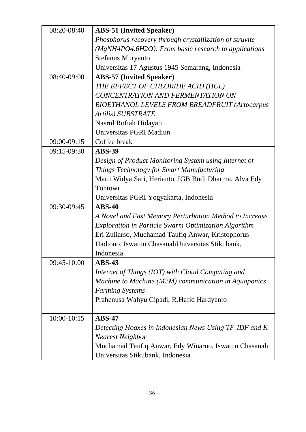| 08:20-08:40     | <b>ABS-51 (Invited Speaker)</b>                             |
|-----------------|-------------------------------------------------------------|
|                 | Phosphorus recovery through crystallization of struvite     |
|                 | (MgNH4PO4.6H2O): From basic research to applications        |
|                 | <b>Stefanus Muryanto</b>                                    |
|                 | Universitas 17 Agustus 1945 Semarang, Indonesia             |
| 08:40-09:00     | <b>ABS-57 (Invited Speaker)</b>                             |
|                 | THE EFFECT OF CHLORIDE ACID (HCL)                           |
|                 | CONCENTRATION AND FERMENTATION ON                           |
|                 | <b>BIOETHANOL LEVELS FROM BREADFRUIT (Artocarpus</b>        |
|                 | Artilis) SUBSTRATE                                          |
|                 | Nasrul Rofiah Hidayati                                      |
|                 | Universitas PGRI Madiun                                     |
| 09:00-09:15     | Coffee break                                                |
| 09:15-09:30     | <b>ABS-39</b>                                               |
|                 | Design of Product Monitoring System using Internet of       |
|                 | Things Technology for Smart Manufacturing                   |
|                 | Marti Widya Sari, Herianto, IGB Budi Dharma, Alva Edy       |
|                 | Tontowi                                                     |
|                 | Universitas PGRI Yogyakarta, Indonesia                      |
| 09:30-09:45     | $ABS-40$                                                    |
|                 | A Novel and Fast Memory Perturbation Method to Increase     |
|                 | <b>Exploration in Particle Swarm Optimization Algorithm</b> |
|                 | Eri Zuliarso, Muchamad Taufiq Anwar, Kristophorus           |
|                 | Hadiono, Iswatun Chasanah Universitas Stikubank,            |
|                 | Indonesia                                                   |
| 09:45-10:00     | $ABS-43$                                                    |
|                 | Internet of Things (IOT) with Cloud Computing and           |
|                 | Machine to Machine (M2M) communication in Aquaponics        |
|                 | <b>Farming Systems</b>                                      |
|                 | Prahenusa Wahyu Cipadi, R.Hafid Hardyanto                   |
|                 |                                                             |
| $10:00 - 10:15$ | $ABS-47$                                                    |
|                 | Detecting Hoaxes in Indonesian News Using TF-IDF and K      |
|                 | <b>Nearest Neighbor</b>                                     |
|                 | Muchamad Taufiq Anwar, Edy Winarno, Iswatun Chasanah        |
|                 | Universitas Stikubank, Indonesia                            |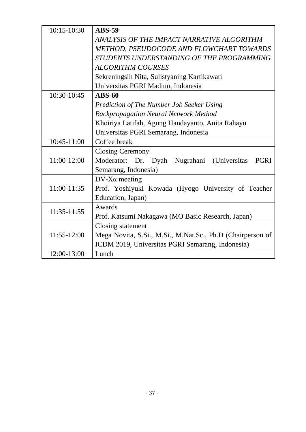| $10:15-10:30$ | <b>ABS-59</b>                                              |  |  |  |  |  |
|---------------|------------------------------------------------------------|--|--|--|--|--|
|               | ANALYSIS OF THE IMPACT NARRATIVE ALGORITHM                 |  |  |  |  |  |
|               | METHOD, PSEUDOCODE AND FLOWCHART TOWARDS                   |  |  |  |  |  |
|               | STUDENTS UNDERSTANDING OF THE PROGRAMMING                  |  |  |  |  |  |
|               | <b>ALGORITHM COURSES</b>                                   |  |  |  |  |  |
|               | Sekreningsih Nita, Sulistyaning Kartikawati                |  |  |  |  |  |
|               | Universitas PGRI Madiun, Indonesia                         |  |  |  |  |  |
| 10:30-10:45   | $ABS-60$                                                   |  |  |  |  |  |
|               | <b>Prediction of The Number Job Seeker Using</b>           |  |  |  |  |  |
|               | <b>Backpropagation Neural Network Method</b>               |  |  |  |  |  |
|               | Khoiriya Latifah, Agung Handayanto, Anita Rahayu           |  |  |  |  |  |
|               | Universitas PGRI Semarang, Indonesia                       |  |  |  |  |  |
| 10:45-11:00   | Coffee break                                               |  |  |  |  |  |
|               | <b>Closing Ceremony</b>                                    |  |  |  |  |  |
| 11:00-12:00   | Moderator: Dr. Dyah Nugrahani (Universitas<br><b>PGRI</b>  |  |  |  |  |  |
|               | Semarang, Indonesia)                                       |  |  |  |  |  |
|               | $DV$ -X $\alpha$ meeting                                   |  |  |  |  |  |
| 11:00-11:35   | Prof. Yoshiyuki Kowada (Hyogo University of Teacher        |  |  |  |  |  |
|               | Education, Japan)                                          |  |  |  |  |  |
|               | Awards                                                     |  |  |  |  |  |
| 11:35-11:55   | Prof. Katsumi Nakagawa (MO Basic Research, Japan)          |  |  |  |  |  |
|               | Closing statement                                          |  |  |  |  |  |
| 11:55-12:00   | Mega Novita, S.Si., M.Si., M.Nat.Sc., Ph.D (Chairperson of |  |  |  |  |  |
|               | ICDM 2019, Universitas PGRI Semarang, Indonesia)           |  |  |  |  |  |
| 12:00-13:00   | Lunch                                                      |  |  |  |  |  |